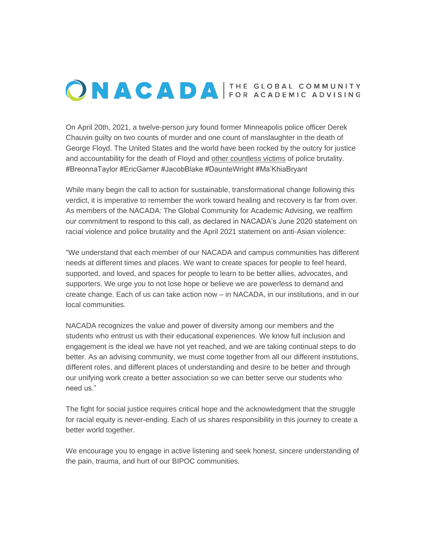## ONACADA FOR ACADEMIC ADVISING

On April 20th, 2021, a twelve-person jury found former Minneapolis police officer Derek Chauvin guilty on two counts of murder and one count of manslaughter in the death of George Floyd. The United States and the world have been rocked by the outcry for justice and accountability for the death of Floyd and other countless victims of police brutality. #BreonnaTaylor #EricGarner #JacobBlake #DaunteWright #Ma'KhiaBryant

While many begin the call to action for sustainable, transformational change following this verdict, it is imperative to remember the work toward healing and recovery is far from over. As members of the NACADA: The Global Community for Academic Advising, we reaffirm our commitment to respond to this call, as declared in NACADA's June 2020 statement on racial violence and police brutality and the April 2021 statement on anti-Asian violence:

"We understand that each member of our NACADA and campus communities has different needs at different times and places. We want to create spaces for people to feel heard, supported, and loved, and spaces for people to learn to be better allies, advocates, and supporters. We urge you to not lose hope or believe we are powerless to demand and create change. Each of us can take action now – in NACADA, in our institutions, and in our local communities.

NACADA recognizes the value and power of diversity among our members and the students who entrust us with their educational experiences. We know full inclusion and engagement is the ideal we have not yet reached, and we are taking continual steps to do better. As an advising community, we must come together from all our different institutions, different roles, and different places of understanding and desire to be better and through our unifying work create a better association so we can better serve our students who need us."

The fight for social justice requires critical hope and the acknowledgment that the struggle for racial equity is never-ending. Each of us shares responsibility in this journey to create a better world together.

We encourage you to engage in active listening and seek honest, sincere understanding of the pain, trauma, and hurt of our BIPOC communities.